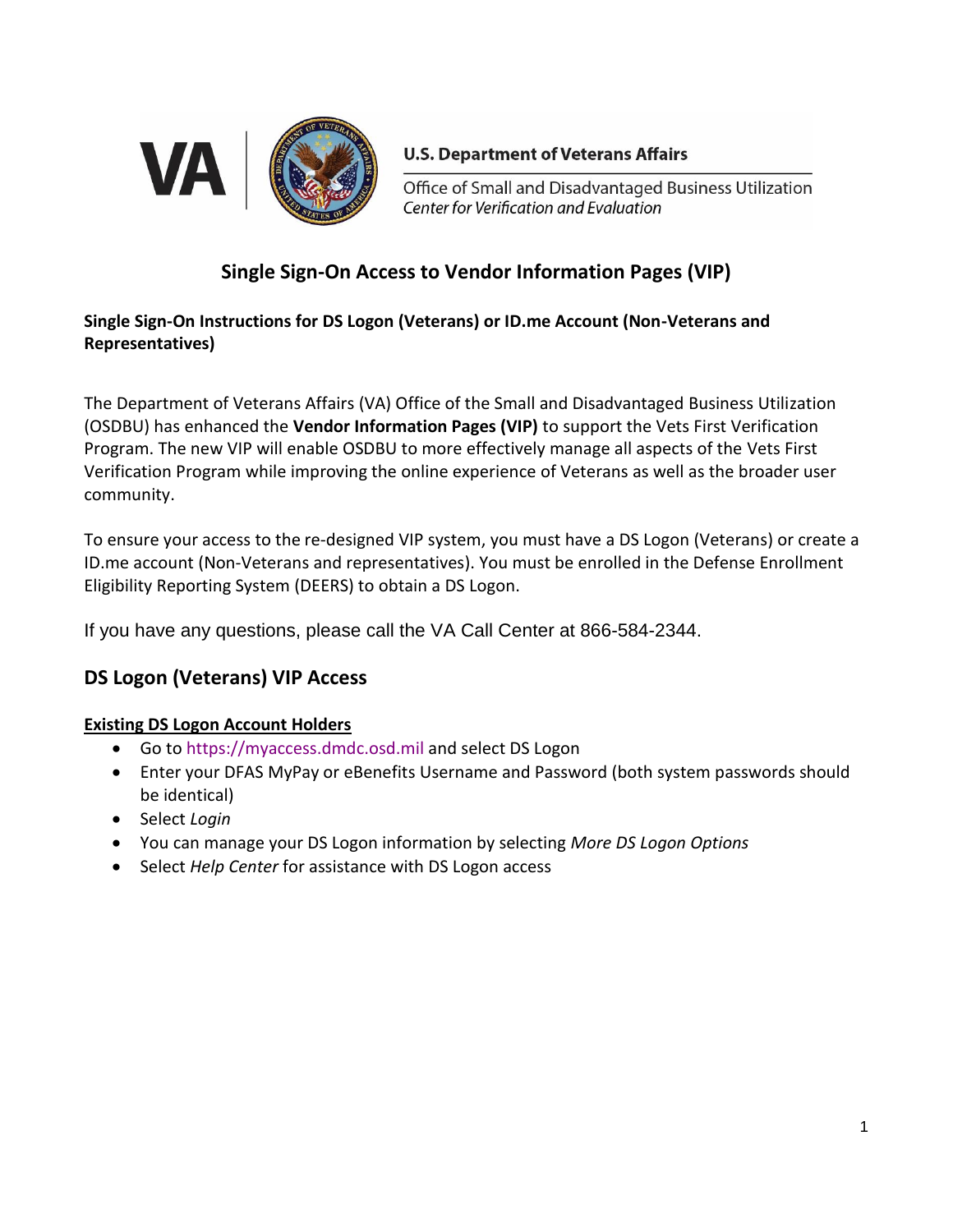

## **U.S. Department of Veterans Affairs**

Office of Small and Disadvantaged Business Utilization Center for Verification and Evaluation

# **Single Sign-On Access to Vendor Information Pages (VIP)**

## **Single Sign-On Instructions for DS Logon (Veterans) or ID.me Account (Non-Veterans and Representatives)**

The Department of Veterans Affairs (VA) Office of the Small and Disadvantaged Business Utilization (OSDBU) has enhanced the **Vendor Information Pages (VIP)** to support the Vets First Verification Program. The new VIP will enable OSDBU to more effectively manage all aspects of the Vets First Verification Program while improving the online experience of Veterans as well as the broader user community.

To ensure your access to the re-designed VIP system, you must have a DS Logon (Veterans) or create a ID.me account (Non-Veterans and representatives). You must be enrolled in the Defense Enrollment Eligibility Reporting System (DEERS) to obtain a DS Logon.

If you have any questions, please call the VA Call Center at 866-584-2344.

# **DS Logon (Veterans) VIP Access**

## **Existing DS Logon Account Holders**

- Go t[o https://myaccess.dmdc.osd.mil](https://myaccess.dmdc.osd.mil/) and select DS Logon
- Enter your DFAS MyPay or eBenefits Username and Password (both system passwords should be identical)
- Select *Login*
- You can manage your DS Logon information by selecting *More DS Logon Options*
- Select *Help Center* for assistance with DS Logon access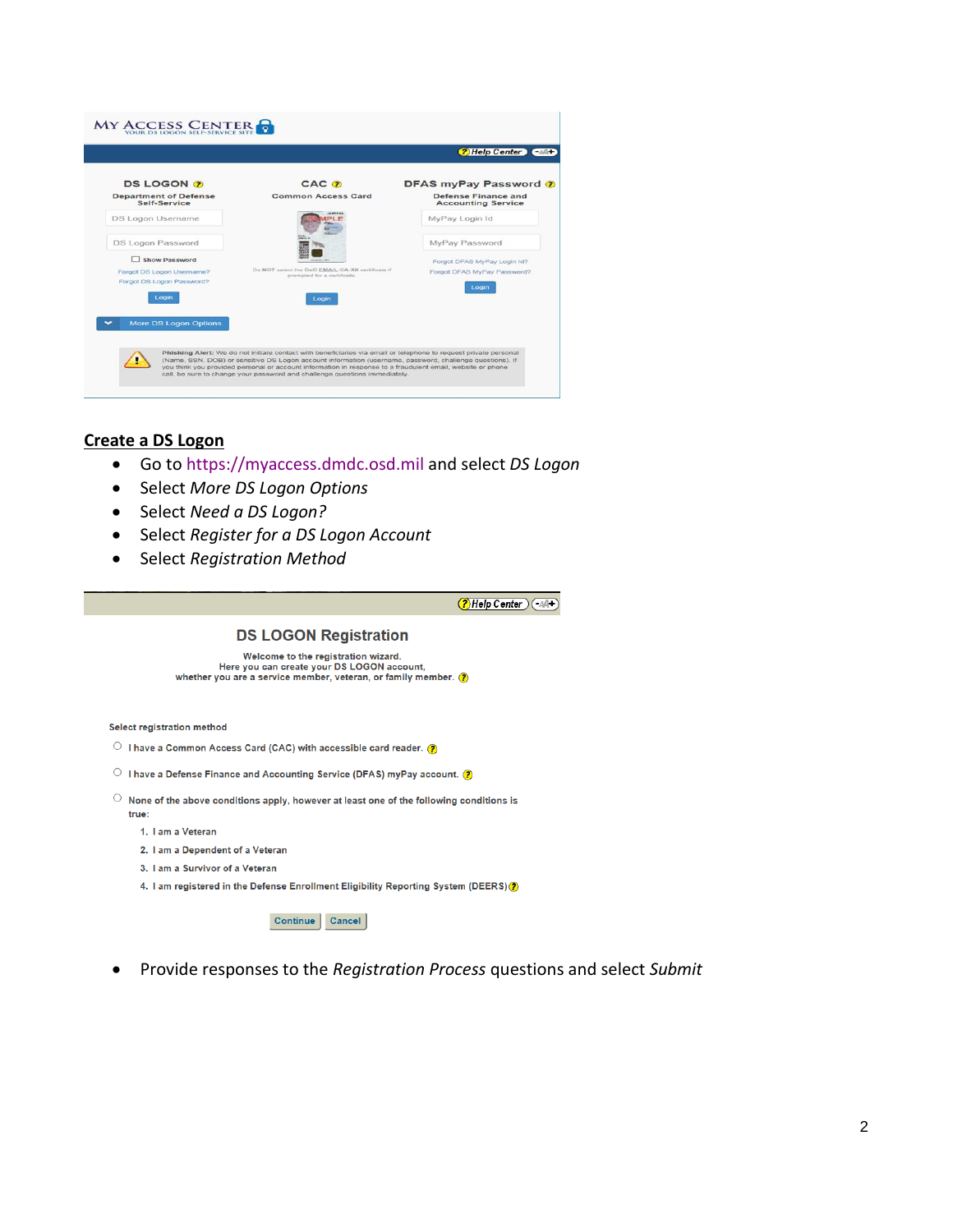|                                                        |                                                                                                                  | <b>2</b> Help Center Call                        |
|--------------------------------------------------------|------------------------------------------------------------------------------------------------------------------|--------------------------------------------------|
| <b>DS LOGON ?</b>                                      | CAC <sub>(2)</sub>                                                                                               | DFAS myPay Password ?                            |
| <b>Department of Defense</b><br>Self-Service           | <b>Common Access Card</b>                                                                                        | Defense Finance and<br><b>Accounting Service</b> |
| DS Logon Username                                      |                                                                                                                  | MyPay Login Id                                   |
| DS Logon Password                                      |                                                                                                                  | MyPay Password                                   |
| Show Password                                          |                                                                                                                  | Forgot DFAS MyPay Login Id?                      |
| Forgot DS Logon Username?<br>Forgot DS Logon Password? | Do NOT select the DoD EMAIL-CA-XX certificate if<br>prompted for a certificate.                                  | Forgot DFAS MyPay Password?<br>Login             |
| Login                                                  | Login                                                                                                            |                                                  |
| <b>More DS Logon Options</b>                           |                                                                                                                  |                                                  |
|                                                        | Phishing Alert: We do not initiate contact with beneficiaries via email or telephone to request private personal |                                                  |

#### **Create a DS Logon**

- Go t[o https://myaccess.dmdc.osd.mil](https://myaccess.dmdc.osd.mil/) and select *DS Logon*
- Select *More DS Logon Options*
- Select *Need a DS Logon?*
- Select *Register for a DS Logon Account*
- Select *Registration Method*

(?) Help Center (44+)

#### **DS LOGON Registration**

Welcome to the registration wizard.<br>Here you can create your DS LOGON account,<br>whether you are a service member, veteran, or family member. (2)

Select registration method

- $\circlearrowright$  I have a Common Access Card (CAC) with accessible card reader. (2)
- $\circ$  I have a Defense Finance and Accounting Service (DFAS) myPay account.  $\bullet$
- $\overline{\phantom{a}}$  None of the above conditions apply, however at least one of the following conditions is true:
	- 1. I am a Veteran
	- 2. I am a Dependent of a Veteran
	- 3. I am a Survivor of a Veteran
	- 4. I am registered in the Defense Enrollment Eligibility Reporting System (DEERS) ?

Continue Cancel

• Provide responses to the *Registration Process* questions and select *Submit*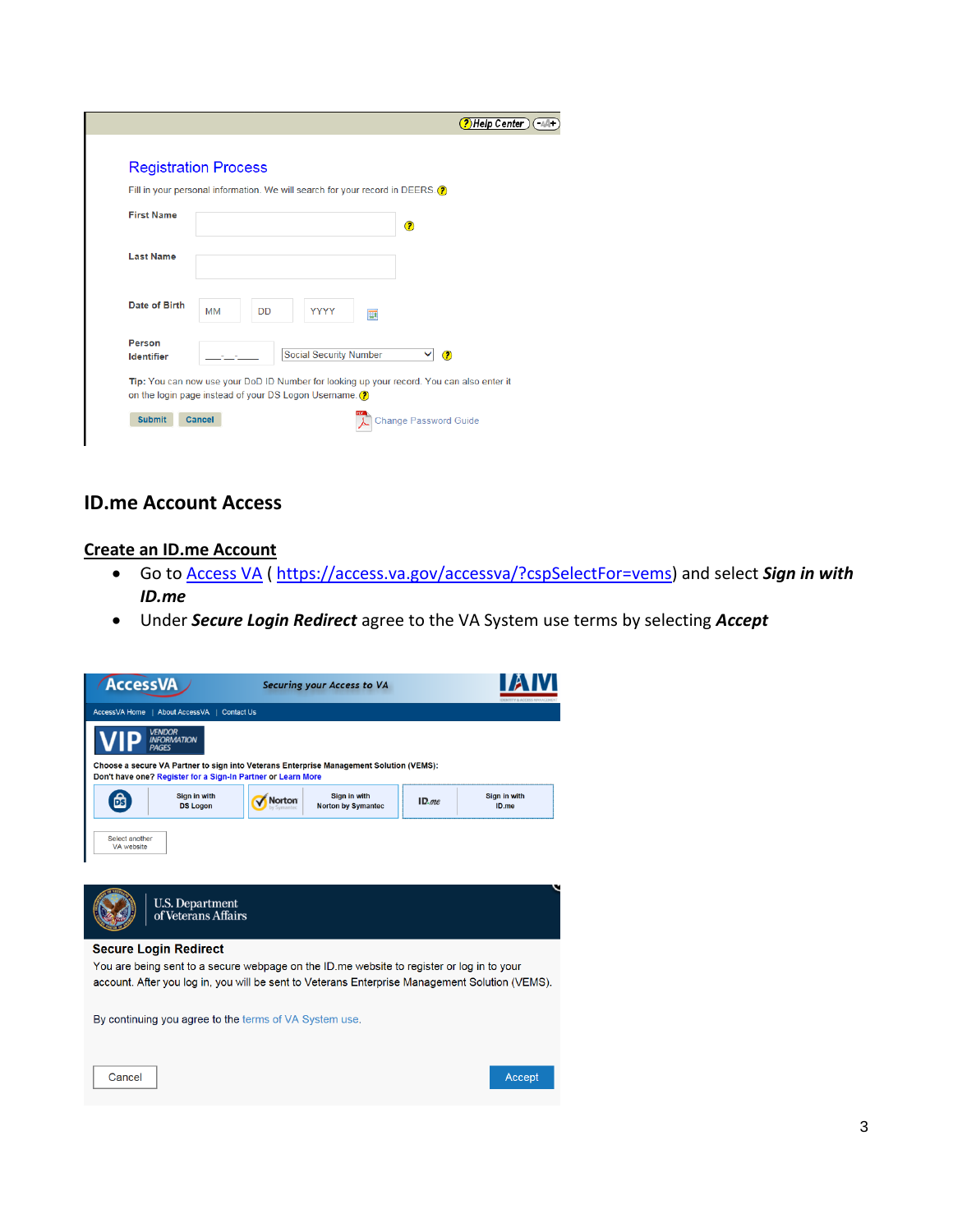|                             | <b>Registration Process</b>                                                               |
|-----------------------------|-------------------------------------------------------------------------------------------|
|                             | Fill in your personal information. We will search for your record in DEERS. (?)           |
| <b>First Name</b>           | $\circ$                                                                                   |
| <b>Last Name</b>            |                                                                                           |
| Date of Birth               | <b>MM</b><br><b>YYYY</b><br><b>DD</b><br>圓                                                |
| Person<br><b>Identifier</b> | <b>Social Security Number</b><br>$\circledcirc$<br>◡                                      |
|                             | Tip: You can now use your DoD ID Number for looking up your record. You can also enter it |

## **ID.me Account Access**

#### **Create an ID.me Account**

- Go to [Access VA](https://myaccess.dmdc.osd.mil/) ( [https://access.va.gov/accessva/?cspSelectFor=vems\)](https://access.va.gov/accessva/?cspSelectFor=vems) and select *Sign in with ID.me*
- Under *Secure Login Redirect* agree to the VA System use terms by selecting *Accept*

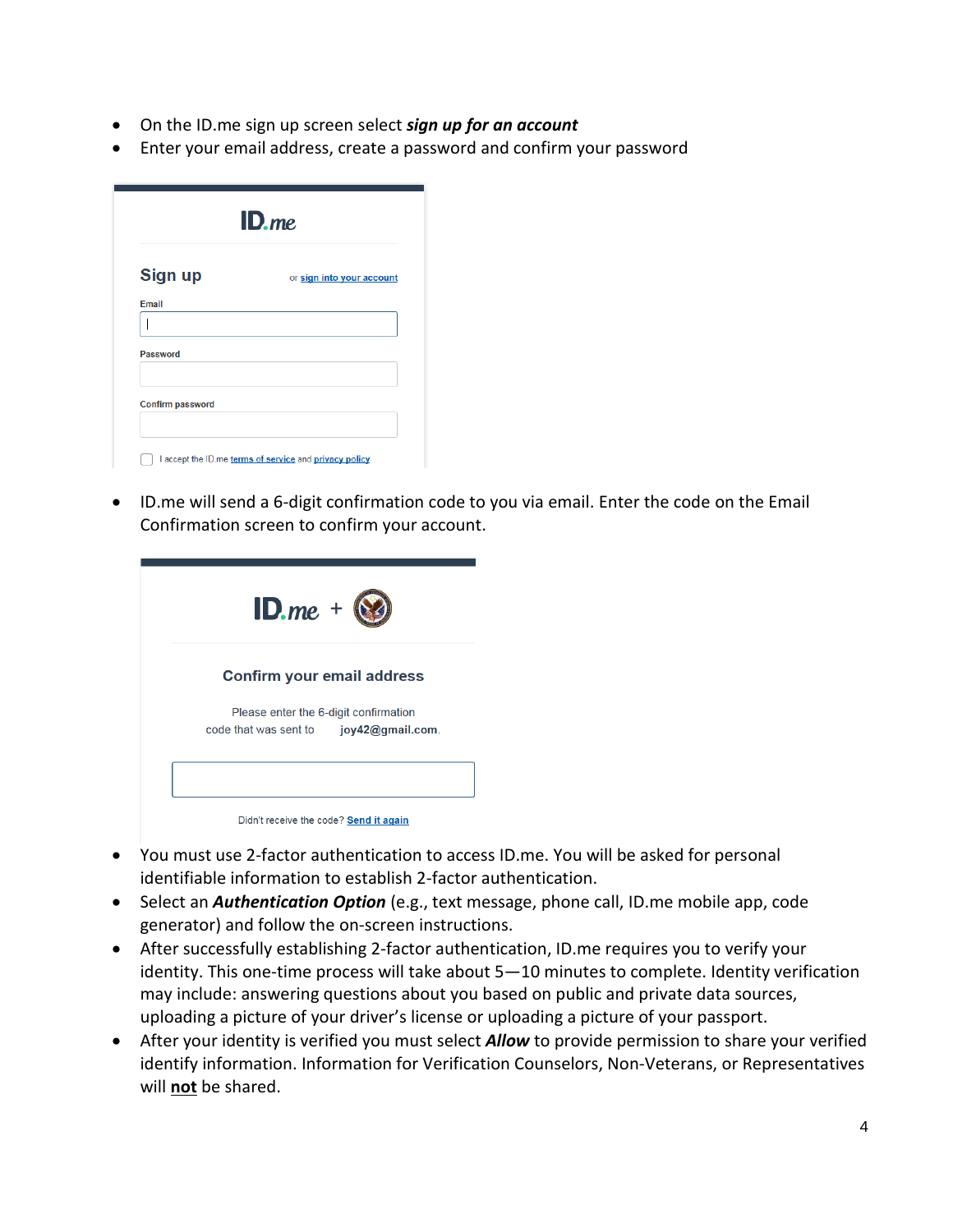- On the ID.me sign up screen select *sign up for an account*
- Enter your email address, create a password and confirm your password

| $ID$ . <i>me</i>        |                           |  |
|-------------------------|---------------------------|--|
| <b>Sign up</b>          | or sign into your account |  |
| Email                   |                           |  |
|                         |                           |  |
| <b>Password</b>         |                           |  |
| <b>Confirm password</b> |                           |  |
|                         |                           |  |

• ID.me will send a 6-digit confirmation code to you via email. Enter the code on the Email Confirmation screen to confirm your account.

| $ID$ <i>me</i> +                                                                             |
|----------------------------------------------------------------------------------------------|
| <b>Confirm your email address</b>                                                            |
| Please enter the 6-digit confirmation<br>code that was sent to $j$ <b>joy 42@ qmail.com.</b> |
|                                                                                              |
| Didn't receive the code? Send it again                                                       |

- You must use 2-factor authentication to access ID.me. You will be asked for personal identifiable information to establish 2-factor authentication.
- Select an *Authentication Option* (e.g., text message, phone call, ID.me mobile app, code generator) and follow the on-screen instructions.
- After successfully establishing 2-factor authentication, ID.me requires you to verify your identity. This one-time process will take about 5—10 minutes to complete. Identity verification may include: answering questions about you based on public and private data sources, uploading a picture of your driver's license or uploading a picture of your passport.
- After your identity is verified you must select *Allow* to provide permission to share your verified identify information. Information for Verification Counselors, Non-Veterans, or Representatives will **not** be shared.